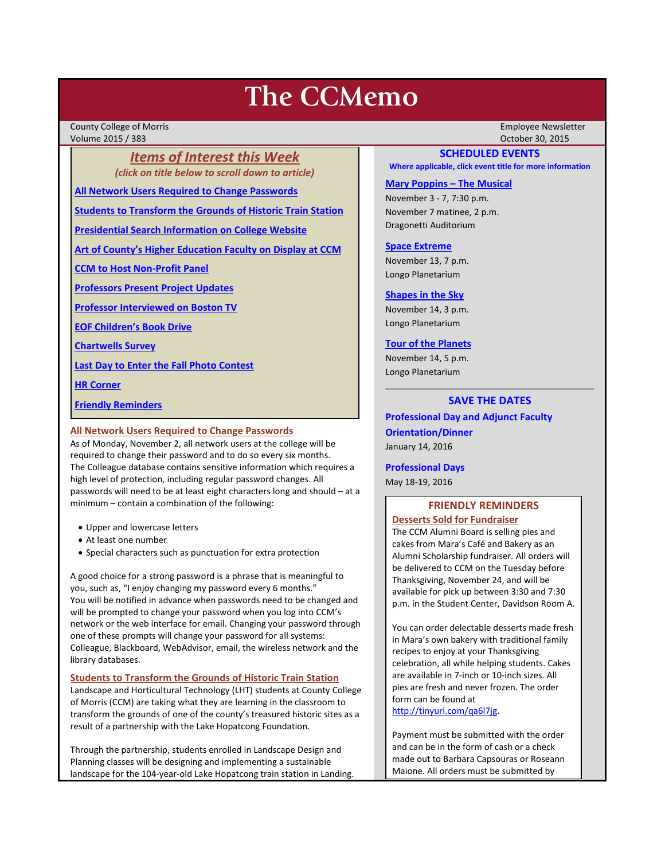# **The CCMemo**

County College of Morris Employee Newsletter Volume 2015 / 383 October 30, 2015

## *Items of Interest this Week (click on title below to scroll down to article)*

**[All Network Users Required to Change Passwords](#page-0-0)**

**[Students to Transform the Grounds of Historic Train Station](#page-0-1)**

**[Presidential Search Information on College Website](#page-1-0)**

**[Art of County's Higher Education Faculty on Display at CCM](#page-1-1)**

**[CCM to Host Non-Profit Panel](#page-2-0)**

**[Professors Present](#page-2-1) Project Updates**

**[Professor Interviewed on Boston TV](#page-2-2)**

**[EOF Children's Book Drive](#page-2-3)**

**[Chartwells Survey](#page-2-4)**

**[Last Day to Enter the Fall Photo Contest](#page-3-0)**

**[HR Corner](#page-3-1)**

**[Friendly Reminders](#page-0-2)**

#### <span id="page-0-0"></span>**All Network Users Required to Change Passwords**

As of Monday, November 2, all network users at the college will be required to change their password and to do so every six months. The Colleague database contains sensitive information which requires a high level of protection, including regular password changes. All passwords will need to be at least eight characters long and should – at a minimum – contain a combination of the following:

- Upper and lowercase letters
- At least one number
- Special characters such as punctuation for extra protection

A good choice for a strong password is a phrase that is meaningful to you, such as, "I enjoy changing my password every 6 months." You will be notified in advance when passwords need to be changed and will be prompted to change your password when you log into CCM's network or the web interface for email. Changing your password through one of these prompts will change your password for all systems: Colleague, Blackboard, WebAdvisor, email, the wireless network and the library databases.

#### <span id="page-0-1"></span>**Students to Transform the Grounds of Historic Train Station**

Landscape and Horticultural Technology (LHT) students at County College of Morris (CCM) are taking what they are learning in the classroom to transform the grounds of one of the county's treasured historic sites as a result of a partnership with the Lake Hopatcong Foundation.

Through the partnership, students enrolled in Landscape Design and Planning classes will be designing and implementing a sustainable landscape for the 104-year-old Lake Hopatcong train station in Landing.

#### **SCHEDULED EVENTS**

**Where applicable, click event title for more information**

#### **[Mary Poppins –](http://www.ccm.edu/newsEvents/eventDetails.aspx?Channel=/Channels/Sitewide&WorkflowItemID=ffeb39ff-f7da-4fea-b9e5-d499448c4e3d) The Musical**

November 3 - 7, 7:30 p.m. November 7 matinee, 2 p.m. Dragonetti Auditorium

#### **[Space Extreme](http://www.ccm.edu/newsEvents/eventDetails.aspx?Channel=/Channels/Sitewide&WorkflowItemID=1874a4b0-0bcb-4ed1-a29e-7b4f8d25e45d)**

November 13, 7 p.m. Longo Planetarium

#### **[Shapes in the Sky](http://www.ccm.edu/newsEvents/eventDetails.aspx?Channel=/Channels/Sitewide&WorkflowItemID=1922c928-86d3-4e75-b6a2-fd618033989c)**

November 14, 3 p.m. Longo Planetarium

#### **[Tour of the Planets](http://www.ccm.edu/newsEvents/eventDetails.aspx?Channel=/Channels/Sitewide&WorkflowItemID=5834aa20-68ba-4fa2-a3ac-75b2311ba441)**

November 14, 5 p.m. Longo Planetarium

## **SAVE THE DATES**

**Professional Day and Adjunct Faculty Orientation/Dinner** January 14, 2016

**Professional Days**

May 18-19, 2016

## <span id="page-0-2"></span>**FRIENDLY REMINDERS Desserts Sold for Fundraiser**

The CCM Alumni Board is selling pies and cakes from Mara's Café and Bakery as an Alumni Scholarship fundraiser. All orders will be delivered to CCM on the Tuesday before Thanksgiving, November 24, and will be available for pick up between 3:30 and 7:30 p.m. in the Student Center, Davidson Room A.

You can order delectable desserts made fresh in Mara's own bakery with traditional family recipes to enjoy at your Thanksgiving celebration, all while helping students. Cakes are available in 7-inch or 10-inch sizes. All pies are fresh and never frozen. The order form can be found at [http://tinyurl.com/qa6l7jg.](http://tinyurl.com/qa6l7jg)

Payment must be submitted with the order and can be in the form of cash or a check made out to Barbara Capsouras or Roseann Maione. All orders must be submitted by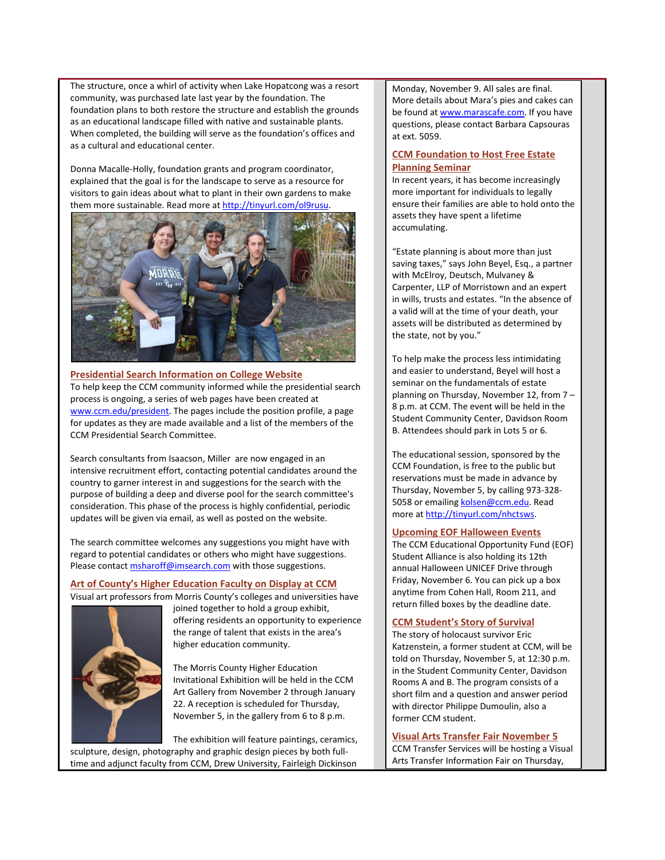The structure, once a whirl of activity when Lake Hopatcong was a resort community, was purchased late last year by the foundation. The foundation plans to both restore the structure and establish the grounds as an educational landscape filled with native and sustainable plants. When completed, the building will serve as the foundation's offices and as a cultural and educational center.

Donna Macalle-Holly, foundation grants and program coordinator, explained that the goal is for the landscape to serve as a resource for visitors to gain ideas about what to plant in their own gardens to make them more sustainable. Read more at [http://tinyurl.com/ol9rusu.](http://tinyurl.com/ol9rusu)



<span id="page-1-0"></span>**Presidential Search Information on College Website** To help keep the CCM community informed while the presidential search process is ongoing, a series of web pages have been created at [www.ccm.edu/president.](http://www.ccm.edu/president) The pages include the position profile, a page for updates as they are made available and a list of the members of the CCM Presidential Search Committee.

Search consultants from Isaacson, Miller are now engaged in an intensive recruitment effort, contacting potential candidates around the country to garner interest in and suggestions for the search with the purpose of building a deep and diverse pool for the search committee's consideration. This phase of the process is highly confidential, periodic updates will be given via email, as well as posted on the website.

The search committee welcomes any suggestions you might have with regard to potential candidates or others who might have suggestions. Please contact **msharoff@imsearch.com** with those suggestions.

## <span id="page-1-1"></span>**Art of County's Higher Education Faculty on Display at CCM**

Visual art professors from Morris County's colleges and universities have



joined together to hold a group exhibit, offering residents an opportunity to experience the range of talent that exists in the area's higher education community.

The Morris County Higher Education Invitational Exhibition will be held in the CCM Art Gallery from November 2 through January 22. A reception is scheduled for Thursday, November 5, in the gallery from 6 to 8 p.m.

The exhibition will feature paintings, ceramics,

sculpture, design, photography and graphic design pieces by both fulltime and adjunct faculty from CCM, Drew University, Fairleigh Dickinson Monday, November 9. All sales are final. More details about Mara's pies and cakes can be found a[t www.marascafe.com.](http://www.marascafe.com/) If you have questions, please contact Barbara Capsouras at ext. 5059.

## **CCM Foundation to Host Free Estate Planning Seminar**

In recent years, it has become increasingly more important for individuals to legally ensure their families are able to hold onto the assets they have spent a lifetime accumulating.

"Estate planning is about more than just saving taxes," says John Beyel, Esq., a partner with McElroy, Deutsch, Mulvaney & Carpenter, LLP of Morristown and an expert in wills, trusts and estates. "In the absence of a valid will at the time of your death, your assets will be distributed as determined by the state, not by you."

To help make the process less intimidating and easier to understand, Beyel will host a seminar on the fundamentals of estate planning on Thursday, November 12, from 7 – 8 p.m. at CCM. The event will be held in the Student Community Center, Davidson Room B. Attendees should park in Lots 5 or 6.

The educational session, sponsored by the CCM Foundation, is free to the public but reservations must be made in advance by Thursday, November 5, by calling 973-328 5058 or emailin[g kolsen@ccm.edu.](mailto:kolsen@ccm.edu) Read more a[t http://tinyurl.com/nhctsws.](http://tinyurl.com/nhctsws)

## **Upcoming EOF Halloween Events**

The CCM Educational Opportunity Fund (EOF) Student Alliance is also holding its 12th annual Halloween UNICEF Drive through Friday, November 6. You can pick up a box anytime from Cohen Hall, Room 211, and return filled boxes by the deadline date.

## **CCM Student's Story of Survival**

The story of holocaust survivor Eric Katzenstein, a former student at CCM, will be told on Thursday, November 5, at 12:30 p.m. in the Student Community Center, Davidson Rooms A and B. The program consists of a short film and a question and answer period with director Philippe Dumoulin, also a former CCM student.

## **Visual Arts Transfer Fair November 5**

CCM Transfer Services will be hosting a Visual Arts Transfer Information Fair on Thursday,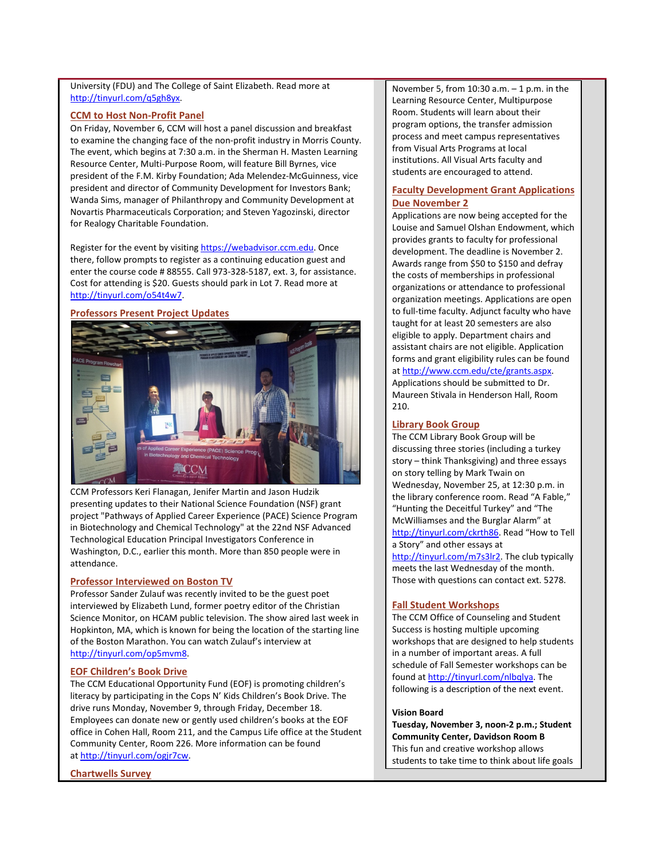University (FDU) and The College of Saint Elizabeth. Read more at [http://tinyurl.com/q5gh8yx.](http://tinyurl.com/q5gh8yx)

#### <span id="page-2-0"></span>**CCM to Host Non-Profit Panel**

On Friday, November 6, CCM will host a panel discussion and breakfast to examine the changing face of the non-profit industry in Morris County. The event, which begins at 7:30 a.m. in the Sherman H. Masten Learning Resource Center, Multi-Purpose Room, will feature Bill Byrnes, vice president of the F.M. Kirby Foundation; Ada Melendez-McGuinness, vice president and director of Community Development for Investors Bank; Wanda Sims, manager of Philanthropy and Community Development at Novartis Pharmaceuticals Corporation; and Steven Yagozinski, director for Realogy Charitable Foundation.

Register for the event by visiting [https://webadvisor.ccm.edu.](https://webadvisor.ccm.edu/) Once there, follow prompts to register as a continuing education guest and enter the course code # 88555. Call 973-328-5187, ext. 3, for assistance. Cost for attending is \$20. Guests should park in Lot 7. Read more at [http://tinyurl.com/o54t4w7.](http://tinyurl.com/o54t4w7)

## <span id="page-2-1"></span>**Professors Present Project Updates**



CCM Professors Keri Flanagan, Jenifer Martin and Jason Hudzik presenting updates to their National Science Foundation (NSF) grant project "Pathways of Applied Career Experience (PACE) Science Program in Biotechnology and Chemical Technology" at the 22nd NSF Advanced Technological Education Principal Investigators Conference in Washington, D.C., earlier this month. More than 850 people were in attendance.

#### <span id="page-2-2"></span>**Professor Interviewed on Boston TV**

Professor Sander Zulauf was recently invited to be the guest poet interviewed by Elizabeth Lund, former poetry editor of the Christian Science Monitor, on HCAM public television. The show aired last week in Hopkinton, MA, which is known for being the location of the starting line of the Boston Marathon. You can watch Zulauf's interview at [http://tinyurl.com/op5mvm8.](http://tinyurl.com/op5mvm8)

#### <span id="page-2-3"></span>**EOF Children's Book Drive**

The CCM Educational Opportunity Fund (EOF) is promoting children's literacy by participating in the Cops N' Kids Children's Book Drive. The drive runs Monday, November 9, through Friday, December 18. Employees can donate new or gently used children's books at the EOF office in Cohen Hall, Room 211, and the Campus Life office at the Student Community Center, Room 226. More information can be found at [http://tinyurl.com/ogjr7cw.](http://tinyurl.com/ogjr7cw)

<span id="page-2-4"></span>**Chartwells Survey**

November 5, from  $10:30$  a.m.  $-1$  p.m. in the Learning Resource Center, Multipurpose Room. Students will learn about their program options, the transfer admission process and meet campus representatives from Visual Arts Programs at local institutions. All Visual Arts faculty and students are encouraged to attend.

## **Faculty Development Grant Applications Due November 2**

Applications are now being accepted for the Louise and Samuel Olshan Endowment, which provides grants to faculty for professional development. The deadline is November 2. Awards range from \$50 to \$150 and defray the costs of memberships in professional organizations or attendance to professional organization meetings. Applications are open to full-time faculty. Adjunct faculty who have taught for at least 20 semesters are also eligible to apply. Department chairs and assistant chairs are not eligible. Application forms and grant eligibility rules can be found a[t http://www.ccm.edu/cte/grants.aspx.](http://www.ccm.edu/cte/grants.aspx) Applications should be submitted to Dr. Maureen Stivala in Henderson Hall, Room 210.

## **Library Book Group**

The CCM Library Book Group will be discussing three stories (including a turkey story – think Thanksgiving) and three essays on story telling by Mark Twain on Wednesday, November 25, at 12:30 p.m. in the library conference room. Read "A Fable," "Hunting the Deceitful Turkey" and "The McWilliamses and the Burglar Alarm" at [http://tinyurl.com/ckrth86.](http://tinyurl.com/ckrth86) Read "How to Tell a Story" and other essays at [http://tinyurl.com/m7s3lr2.](http://tinyurl.com/m7s3lr2) The club typically meets the last Wednesday of the month. Those with questions can contact ext. 5278.

#### **Fall Student Workshops**

The CCM Office of Counseling and Student Success is hosting multiple upcoming workshops that are designed to help students in a number of important areas. A full schedule of Fall Semester workshops can be found a[t http://tinyurl.com/nlbqlya.](http://tinyurl.com/nlbqlya) The following is a description of the next event.

#### **Vision Board**

**Tuesday, November 3, noon-2 p.m.; Student Community Center, Davidson Room B** This fun and creative workshop allows students to take time to think about life goals